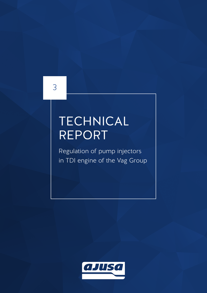3

# **TECHNICAL** REPORT

Regulation of pump injectors in TDI engine of the Vag Group

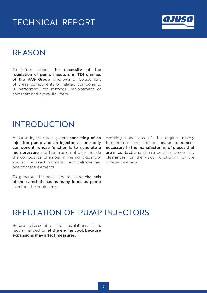### TECHNICAL REPORT



#### REASON

To inform about the necessity of the regulation of pump injectors in TDI engines of the VAG Group whenever a replacement of these components or related components is performed, for instance, replacement of camshaft and hydraulic lifters.

#### INTRODUCTION

A pump injector is a system **consisting of an** injection pump and an injector, as one only component, whose function is to generate a high pressure and the injecion of diesel inside the combustion chamber in the right quantity and at the exact moment. Each cylinder has one of these elements.

To generate the necessary pressure, the axis of the camshaft has as many lobes as pump injectors the engine has.

Working conditions of the engine, mainly temperature and friction, **make tolerances** necessary in the manufacturing of pieces that are in contact, and also respect the cnecessary clearances for the good functioning of the different elemnts.

#### REFULATION OF PUMP INJECTORS

Before disassembly and regulations, it is recommended to **let the engine cool, because** expansions may affect measures.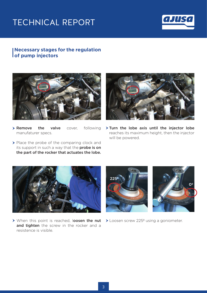# TECHNICAL REPORT



#### **Necessary stages for the regulation of pump injectors**



> Remove the valve cover, following manufaturer specs.



> Turn the lobe axis until the injector lobe reaches its maximum height, then the injector will be powered.

▶ Place the probe of the comparing clock and its support in such a way that the **probe is on** the part of the rocker that actuates the lobe.



> When this point is reached, loosen the nut and tighten the screw in the rocker and a resistence is visible.



▶ Loosen screw 225<sup>°</sup> using a goniometer.